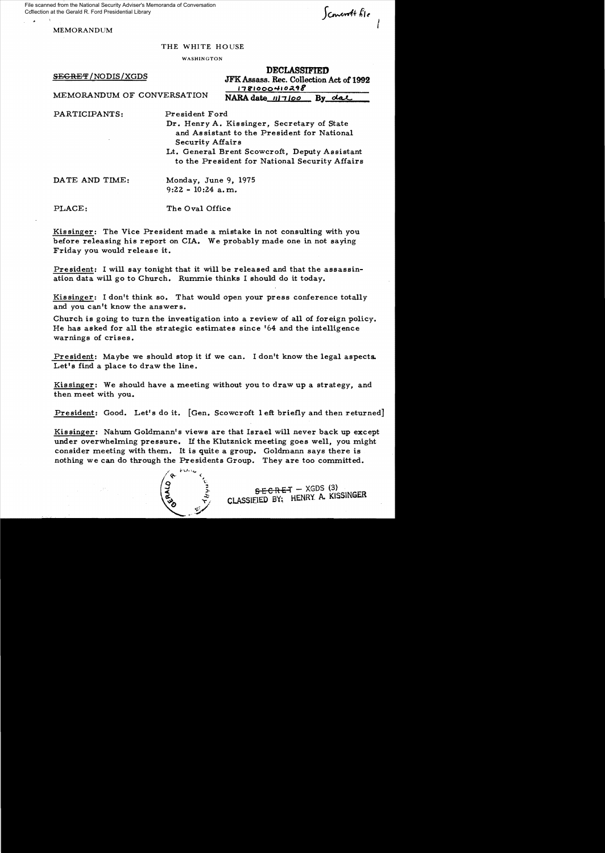File scanned from the National Security Adviser's Memoranda of Conversation Collection at the Gerald R. Ford Presidential Library

MEMORANDUM

 $\int$ concordt file

THE WHITE HOUSE

WASHINGTON

DECLASSIFIED

SECRET/NODIS/XGDS<br>MEMORANDUM OF CONVERSATION<br>MARA data winter Branch of CONVERSATION  $NARA date$   $117100$  By date

PARTICIPANTS: President Ford

Dr. Henry A. Kissinger, Secretary of State and As sistant to the President for National Security Affairs

Lt. General Brent Scowcroft, Deputy Assistant to the President for National Security Affairs

DATE AND TIME: Monday, June 9, 1975 9:22 - 10:24 a. m.

PLACE: The Oval Office

Kis singer: The Vice President made a mistake in not consulting with you before releasing his report on CIA. We probably made one in hot saying Friday you would release it.

President: I will say tonight that it will be released and that the assassination data will go to Church. Rummie thinks I should do it today.

Kissinger: I don't think so. That would open your press conference totally and you can't know the answers.

Church is going to turn the investigation into a review of a11 of foreign policy. He has asked for all the strategic estimates since '64 and the intelligence warnings of crises.

President: Maybe we should stop it if we can. I don't know the legal aspects. Let's find a place to draw the line.

Kissinger: We should have a meeting without you to draw up a strategy, and then meet with you.

President: Good. Let's do it. [Gen. Scowcroft I eft briefly and then returned]

Kis singer: Nahum Goldmann's views are that Israel wi11 never back up except under overwhelming pressure. If the Klutznick meeting goes we11, you might consider meeting with them. It is quite a group. Goldmann says there is nothing we can do through the Presidents Group. They are too committed.



 $SEEREF-XGDS(3)$ CLASSIfIED BY; HENRY A. KISSINGER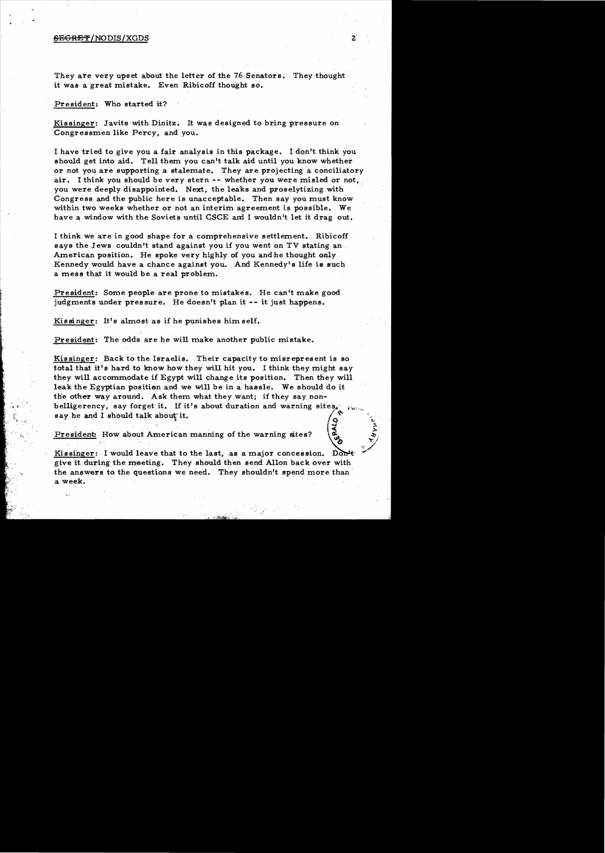## $BEGREF/NODIS/XGDS$

They are very upset about the letter of the 76 Senators. They thought it was a great mistake. Even Ribicoff thought so.

President: Who started it?

:,. ..

Kissinger: Javits with Dinitz. It was designed to bring pressure on Congressmen like Percy, and you.

I have tried to give you a fair analysis in this package. I don't think you should get into aid. Tell them you can't talk aid until you know whether or not you are supporting a stalemate. They are projecting a conciliatory air. I think you should be very stern -- whether you were misled or not. you were deeply disappointed. Next, the leaks and proselytizing with Congress and the public here is unacceptable. Then say you must know within two weeks whether or not an interim agreement is possible. We have a window with the Soviets until CSCE and I wouldn't let it drag out.

I think we are in good shape for a comprehensive settlement. Ribicoff says the Jews couldn't stand against you if you went on TV stating an. American position. He spoke very highly of you and he thought only Kennedy would have a chance against you. And Kennedy's life is such a mess that it would be a real problem.

President: Some people are prone to mistakes. He can't make good judgments under pressure. He doesn't plan it -- it just happens.

Kissinger: It's almost as if he punishes him self.

President: The odds are he will make another public mistake.

Kissinger: Back to the Israelis. Their capacity to misrepresent is so total that it's hard to know how they will hit *you.* I think they might *say*  they will accommodate if Egypt will change its position. Then they will leak the Egyptian position and we will be in a hassle. We should do it the other way around. Ask them what they want; if they say nonbelligerency, say forget it. If it's about duration and warning sites. say he and I should talk about it. CRALD

President: How about American manning of the warning sites?

Kissinger: I would leave that to the last, as a major concession. Kissinger: I would leave that to the last, as a major concession. Don<sup>1</sup> give it during the meeting. They should then send Allon back over with the answers to the questions we need. They shouldn't spend more than a week. The contract of the contract of the contract of the contract of the contract of the contract of the contract of the contract of the contract of the contract of the contract of the contract of the contract of the co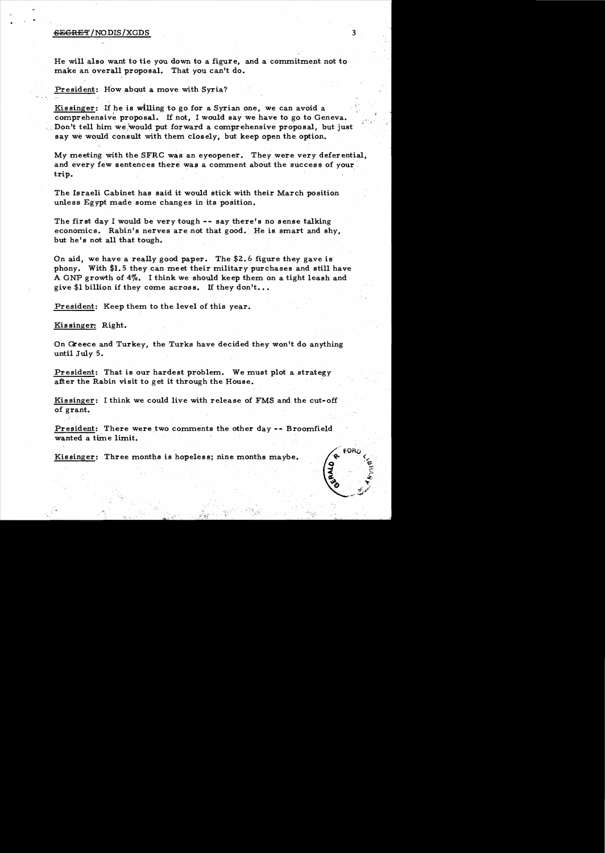# BEGRET/NODIS/XGDS 3

He will also want to tie you down to a figure, and a commitment not to make an overall proposal. That you can't do.

President: How about a move with Syria?

Kissinger: If he is willing to go for a Syrian one, we can avoid a comprehensive proposal. If not, I would say we have to go to Geneva. Don't tell him we would put forward a comprehensive proposal, but just say we would consult with them closely, but keep open the option.

My meeting with the SFRC was an eyeopener. They.were very deferential, and every few sentences there was a comment about the success of your trip.

The Israeli Cabinet has said it would stick with their March position unless Egypt made some changes in its position.

The first day I would be very tough **--** say there's no sense talking economics. Rabin's nerves are not that good.' He is smart and shy, but he's not all that tough..

On aid, we have a really good paper. The \$2.6 figure they gave is phony. With \$1. 5 they can meet their military purchases and still have A GNP growth of 4%. I think we should keep them on a tight leash and give \$1 billion if they come across. If they don't...

President: Keep them to the level of this year.

Kis singer: Right.

: '

On Greece and Turkey, the Turks have decided they won't do anything until July 5.

President: That is our hardest problem. We must plot a strategy after the Rabin visit to get it through the House.

Kissinger: I think we could live with release of FMS and the cut-off of grant.

President: There were two comments the other day -- Broomfield wanted a time limit.

Kissinger: Three months is hopeless; nine months maybe.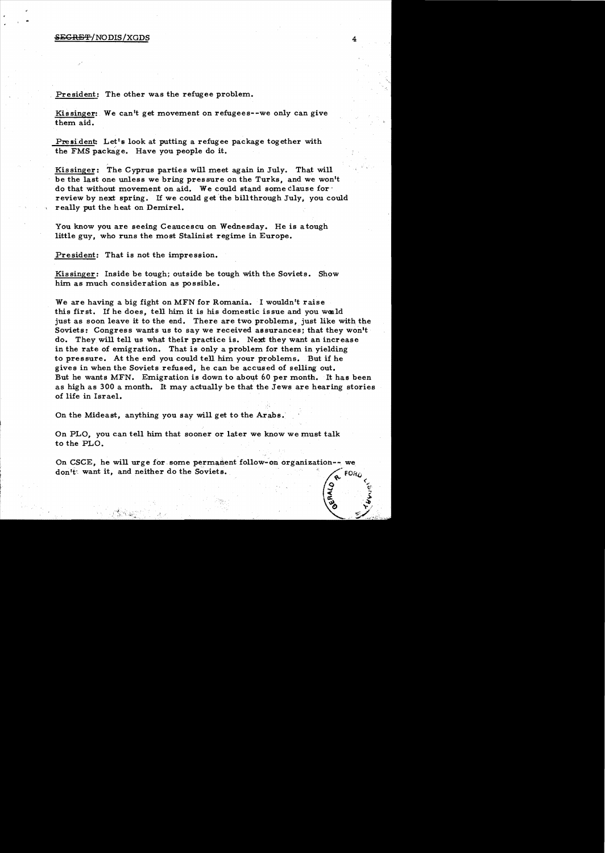## <del>SECRET</del>/NODIS/XGDS

President: The other was the refugee problem.

Kissinger: We can't get movement on refugees--we only can give them aid.

President: Let's look at putting a refugee package together with the FMS package. Have you people do it.

Kissinger: The Cyprus parties will meet again in July. That will be the last one unless we bring pressure on the Turks, and we won't do that without movement on aid. We could stand some clause for review by next spring. If we could get the bill through July, you could really put the heat on Demirel.

You know you are seeing Ceaucescu on Wednesday. He is a tough little guy, who runs the most Stalinist regime in Europe.

President: That is not the impression.

Kissinger: Inside be tough; outside be tough with the Soviets. Show him as much consideration as possible.

We are having a big fight on MFN for Romania. I wouldn't raise this first. If he does, tell him it is his domestic issue and you would just as soon leave it to the end. There are two problems, just like with the Soviets: Congress wants us to say we received assurances; that they won't do. They will tell us what their practice is. Next they want an increase in the rate of emigration. That is only a problem for them in yielding to pressure. At the end you could tell him your problems. But if he gives in when the Soviets refused, he can be accused of selling out. But he wants MFN. Emigration is down to about 60 per month. It has been as high as 300 a month. It may actually be that the Jews are hearing stories of life in Israel.

On the Mideast, anything you say will get to the Arabs.

On PLO, you can tell him that sooner or later we know we must talk to the PLO.

On CSCE, he will urge for some permanent follow-on organization-- we don't want it, and neither do the Soviets. q... <

 $\tilde{a}$   $\tilde{b}$ 

 $\vec{\cdot}$  $\bar{v}$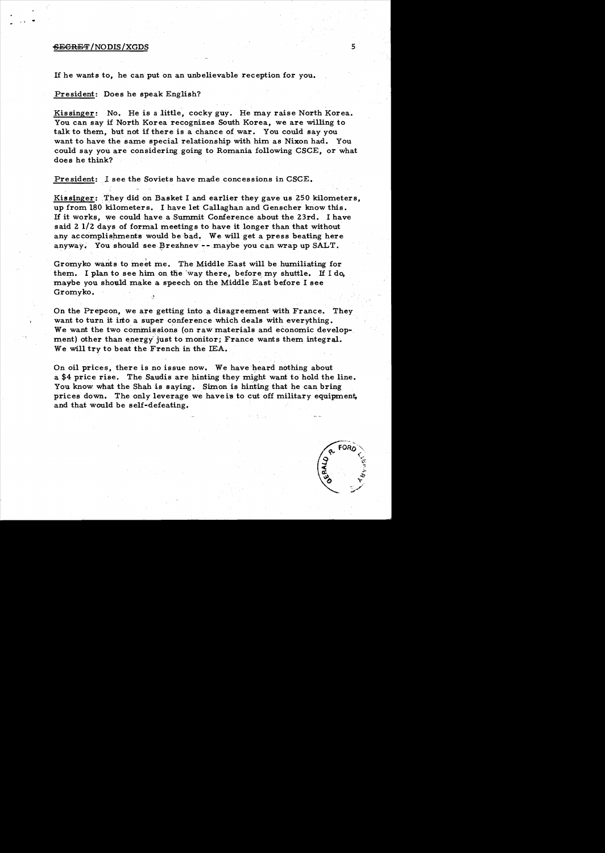# ~EGRET /NODIS/XGDS 5

If he wants to, he can put on an unbelievable reception for you.

### President: Does he speak English?

Kissinger: No. He is a little, cocky guy. He may raise North Korea. You can say if North Korea recognizes South Korea, we are willing to talk to them, but not if there is a chance of war. You could say you want to have the same special relationship with him as Nixon had. You could say you are considering going to Romania following CSCE, or what does he think?

President: l see the Soviets have made concessions in CSCE.

Kissinger: They did on Basket I and earlier they gave us 250 kilometers, up from l80 kilometers. I have let Callaghan and Genscher know this. If it works, we could have a Summit Conference about the 23rd. I have said 2 1/2 days of formal meeting s to have it longer than that without any accomplishments would be bad. We will get a press beating here anyway. You should see Brezhnev -- maybe you can wrap up SALT.

Gromyko wants to meet me. The Middle East will be humiliating for them. I plan to see him on the way there, before my shuttle. If  $I$  do, maybe you should make a speech on the Middle East before I see Gromyko.

On the Prepeon, we are getting into a disagreement with France. They want to turn it into a super conference which deals with everything. We want the two commissions (on raw materials and economic development) other than energy just to monitor; France wants them integral. We will try to beat the French in the lEA.

On oil prices, there is no issue now. We have heard nothing about a \$4 price rise. The Saudis are hinting they might want to hold the line. You know what the Shah is saying. Simon is hinting that he can bring prices down. The only leverage we have is to cut off military equipment, and that would be self-defeating.

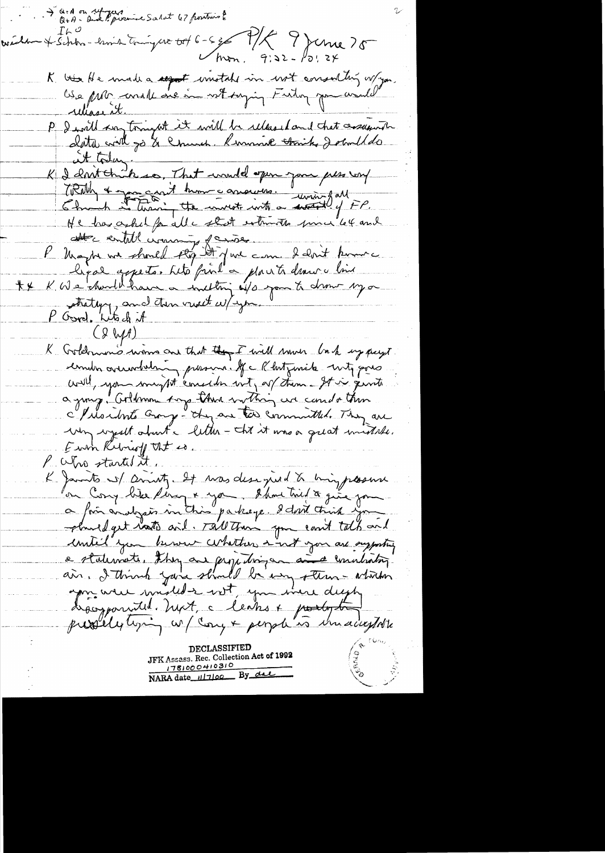Q+A on refugers  $\mathcal{I}$ ん  $^{\mathcal{O}}$ weden & Schbr-brind tringers tot 6-5g P/K 9 Jenne 75 K ver He made a seport instale in wit ensuiting w/you.<br>Use per consile one in wit saying Futur por would rellasent. P I will say tonight it will be released and that creatente at today.<br>K I don't think so, That would open you per use wy TRAIL + gong cant hum consumer. I faithful all He has askel for all a start estimates proven let and attre entitle circanny de mon deloit pour hepal appeter tite fint a plantidament line K We hard have a internet of spon to drow myor  $+$   $\times$ strategy, and then went w/you. P Good, Which it  $C8W1$ K Goldman's winns our that they I will would bush up pays. combin aver whething prosent. If a Rhost mile with good will, you might consider wit, or them - It is givite a jung. Goldmon tog there within we can do then I literature croye ty and the committed. They are Eurn Retrief that is. P Who started it K Jamits of smirty. It was designed to bring plasme on Cong bite perg & you. I'han tail à give you. planed get rate wit. Tall them you could talk and until you know whether int you are supporting a statemate, they are projecting and a concelation.<br>ain, I think you should be ung steem - about apprisente unité de les parties dept. JFK Assass. Rec. Collection Act of 1992 1781000410310<br>NARA date 117100 By due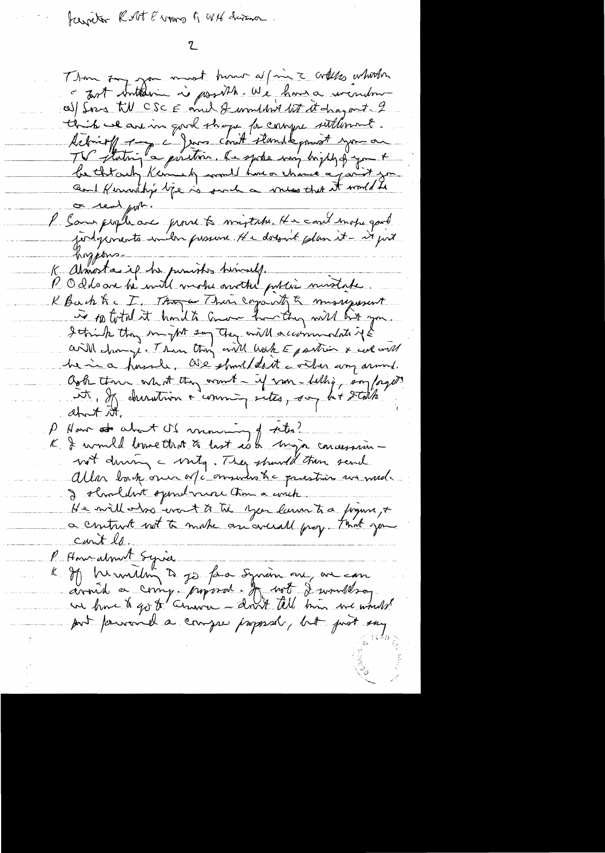Jeanity Rolt Evans & With divinor.

Than surfit most burn a/min = créese whither al fors till CSC E and J wouldn't let it dragant. 2 this we are in good shape for compre suttiment. tebrit 1 - a from court standsquant you are<br>TV stating a partir la spoke vous bight p you are<br>be throught kennels would have a vous that it would be or real port. l' Same people avec permet à majerir. He coul emote gard judgements ember prosence. He dossait plan it - it port hoppons K atmostas if he punishes hemself.<br>P O dels are be with mother another puties mistake. K Back Kc I, Though There eggs it & missequent is 10 total it hard to come how they will hit you I think they mught say they will accommodate if & bein a housele, all should aut a villes any armed. Ook there what they count - if you - belling, son forget it, If charaction & comming sites, soy h+ stalk ahout it How at about IS moving of the!  $\mu_{\parallel}$ K & would brove that to last est mya concession wit driving a virty. They should then send Allor back one of communitie presties un med. I shouldn't symdravar time a wrich. He will has event to the year laun to a fogure, + a contract not to make an archively. That you cant le. P Americalment Syrice K If he miling to go for a synam one are con port privance a compre proposal, but just eny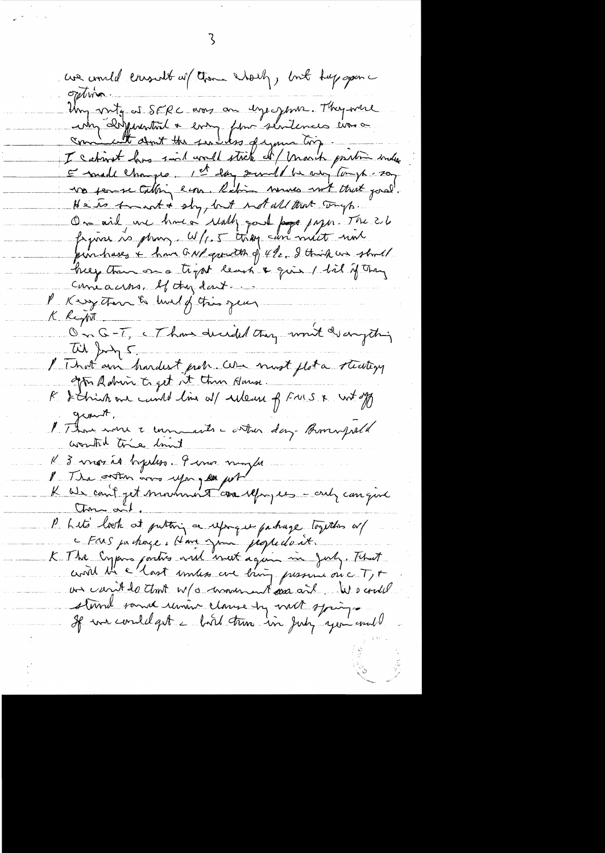une court de conseille au Channe Charly, bout tup open option Un voite et SERC avec au depersence They were<br>une Desperantial + every fame sentences ever a<br>concedent don't the subdistick of mark printin and He is trunk + sly, but not all that trues. On aid une hunca really poul page page. The 21 pinhases + have GNP growth of the I think we should help than on a trypt least & give I til if they Comeacros, If they don't. P Kerzettan & hulf this jean K Reyont On G-T, (Than decided they won't disangeting With Jung 5 I That am hardest preh. We most plat a steating l'America e mondiale costru dans Bommpoeld worthd trie limit K 3 vnos id bydes. Pierre ningle P The outon and you all put an a P Lite lock at putting a uponque pachage together or Ears ja chaze. Home juin peopledait.<br>K The Engen contre viel met again mi July. That us can't to that w/o movement as and We could stand same union clause by not springer If we could get a bird true in July you and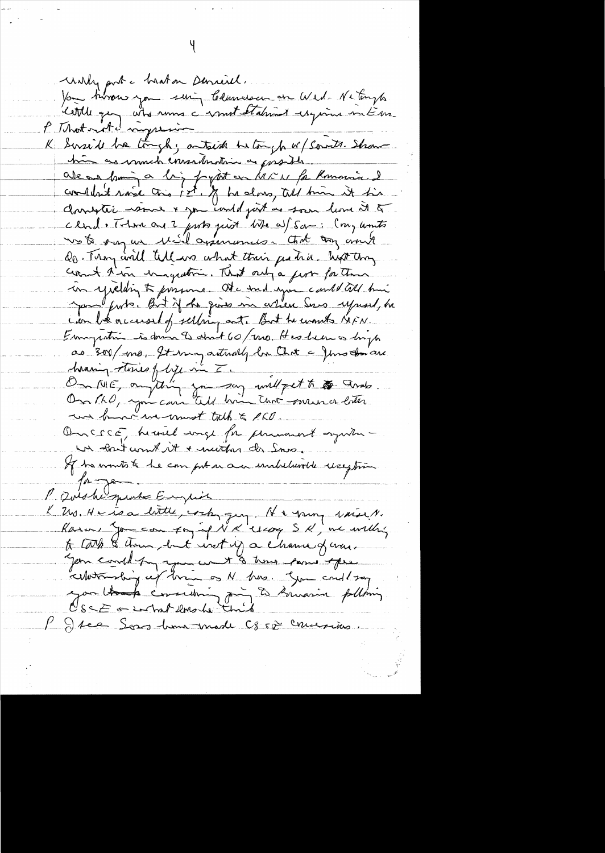unly port a braton Demirel. Vou tivreur you suig Clamescen en Wed-Neturyts K Serside he tough; antaich betough w/ Servits. Shaw him as much consideration as proster. alean hui à lig pytot en MEN fa Romanie. Il<br>condent raid tris pet, of ha dons, till trin it tis clud. There are 2 just just the af Sam: Cong units wo to say un Mil assurances. Cont any world Do. Thoy and tell we what their jestice. high thoy coast thin in quetin. That only a fert for these in yielding to presume. At a sound your could all him James furts. But if the gives in article Serve upward, he can be accessed of selling ant. But he wants KIFN. Emmyration is down I about 60/2010. Has hear as longto as 300/mo, It my actualy la Chit a Jons don are<br>herenning stories of bije in I. and fet to the grass. un brown was must talk & PLO. Oncece, humed unge for promount organismun about comt it + marthan de Sno. If he wonts to be computer are undelawelle reception P. Doishe sprake Empire K 200. He is a little, with guy. He gray was it. Karne Jon con for if NX'llcog SK, we willing to Lark & thousand that inst y a chance of cross. your could pay you want & time power three Ellotanding up tran on N has. Sym could say you thank considering for to knowing polling P Jee Sons home made C850 comesions